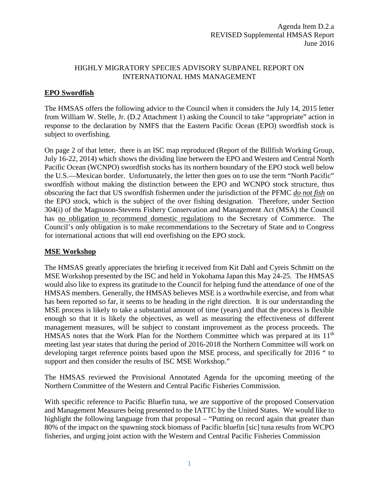## HIGHLY MIGRATORY SPECIES ADVISORY SUBPANEL REPORT ON INTERNATIONAL HMS MANAGEMENT

## **EPO Swordfish**

The HMSAS offers the following advice to the Council when it considers the July 14, 2015 letter from William W. Stelle, Jr. (D.2 Attachment 1) asking the Council to take "appropriate" action in response to the declaration by NMFS that the Eastern Pacific Ocean (EPO) swordfish stock is subject to overfishing.

On page 2 of that letter, there is an ISC map reproduced (Report of the Billfish Working Group, July 16-22, 2014) which shows the dividing line between the EPO and Western and Central North Pacific Ocean (WCNPO) swordfish stocks has its northern boundary of the EPO stock well below the U.S.—Mexican border. Unfortunately, the letter then goes on to use the term "North Pacific" swordfish without making the distinction between the EPO and WCNPO stock structure, thus obscuring the fact that US swordfish fishermen under the jurisdiction of the PFMC *do not fish* on the EPO stock, which is the subject of the over fishing designation. Therefore, under Section 304(i) of the Magnuson-Stevens Fishery Conservation and Management Act (MSA) the Council has no obligation to recommend domestic regulations to the Secretary of Commerce. The Council's only obligation is to make recommendations to the Secretary of State and to Congress for international actions that will end overfishing on the EPO stock.

## **MSE Workshop**

The HMSAS greatly appreciates the briefing it received from Kit Dahl and Cyreis Schmitt on the MSE Workshop presented by the ISC and held in Yokohama Japan this May 24-25. The HMSAS would also like to express its gratitude to the Council for helping fund the attendance of one of the HMSAS members. Generally, the HMSAS believes MSE is a worthwhile exercise, and from what has been reported so far, it seems to be heading in the right direction. It is our understanding the MSE process is likely to take a substantial amount of time (years) and that the process is flexible enough so that it is likely the objectives, as well as measuring the effectiveness of different management measures, will be subject to constant improvement as the process proceeds. The HMSAS notes that the Work Plan for the Northern Committee which was prepared at its 11<sup>th</sup> meeting last year states that during the period of 2016-2018 the Northern Committee will work on developing target reference points based upon the MSE process, and specifically for 2016 " to support and then consider the results of ISC MSE Workshop."

The HMSAS reviewed the Provisional Annotated Agenda for the upcoming meeting of the Northern Committee of the Western and Central Pacific Fisheries Commission.

With specific reference to Pacific Bluefin tuna, we are supportive of the proposed Conservation and Management Measures being presented to the IATTC by the United States. We would like to highlight the following language from that proposal – "Putting on record again that greater than 80% of the impact on the spawning stock biomass of Pacific bluefin [sic] tuna results from WCPO fisheries, and urging joint action with the Western and Central Pacific Fisheries Commission